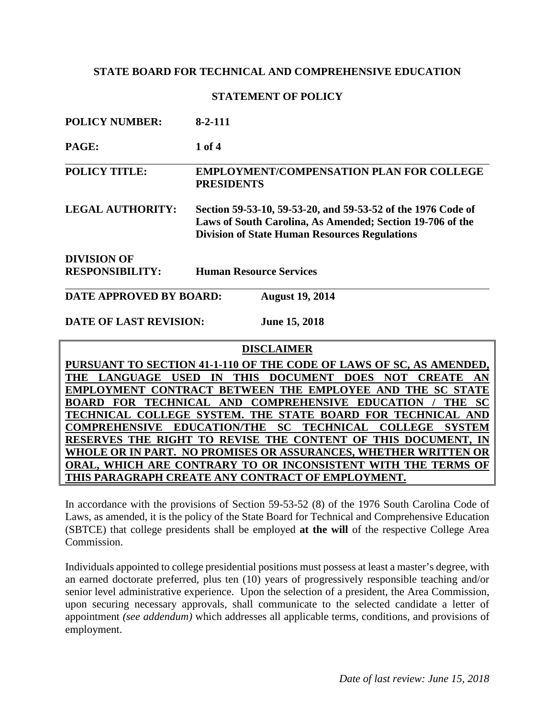#### **STATEMENT OF POLICY**

| <b>POLICY NUMBER:</b>                             | $8 - 2 - 111$                                                                                                                                                                     |
|---------------------------------------------------|-----------------------------------------------------------------------------------------------------------------------------------------------------------------------------------|
| PAGE:                                             | 1 of 4                                                                                                                                                                            |
| <b>POLICY TITLE:</b>                              | <b>EMPLOYMENT/COMPENSATION PLAN FOR COLLEGE</b><br><b>PRESIDENTS</b>                                                                                                              |
| <b>LEGAL AUTHORITY:</b>                           | Section 59-53-10, 59-53-20, and 59-53-52 of the 1976 Code of<br>Laws of South Carolina, As Amended; Section 19-706 of the<br><b>Division of State Human Resources Regulations</b> |
| <b>DIVISION OF</b>                                |                                                                                                                                                                                   |
| <b>RESPONSIBILITY:</b>                            | <b>Human Resource Services</b>                                                                                                                                                    |
| DATE APPROVED BY BOARD:<br><b>August 19, 2014</b> |                                                                                                                                                                                   |

## **DATE OF LAST REVISION: June 15, 2018**

#### **DISCLAIMER**

**PURSUANT TO SECTION 41-1-110 OF THE CODE OF LAWS OF SC, AS AMENDED, THE LANGUAGE USED IN THIS DOCUMENT DOES NOT CREATE AN EMPLOYMENT CONTRACT BETWEEN THE EMPLOYEE AND THE SC STATE BOARD FOR TECHNICAL AND COMPREHENSIVE EDUCATION / THE SC TECHNICAL COLLEGE SYSTEM. THE STATE BOARD FOR TECHNICAL AND COMPREHENSIVE EDUCATION/THE SC TECHNICAL COLLEGE SYSTEM RESERVES THE RIGHT TO REVISE THE CONTENT OF THIS DOCUMENT, IN WHOLE OR IN PART. NO PROMISES OR ASSURANCES, WHETHER WRITTEN OR ORAL, WHICH ARE CONTRARY TO OR INCONSISTENT WITH THE TERMS OF THIS PARAGRAPH CREATE ANY CONTRACT OF EMPLOYMENT.**

In accordance with the provisions of Section 59-53-52 (8) of the 1976 South Carolina Code of Laws, as amended, it is the policy of the State Board for Technical and Comprehensive Education (SBTCE) that college presidents shall be employed **at the will** of the respective College Area Commission.

Individuals appointed to college presidential positions must possess at least a master's degree, with an earned doctorate preferred, plus ten (10) years of progressively responsible teaching and/or senior level administrative experience. Upon the selection of a president, the Area Commission, upon securing necessary approvals, shall communicate to the selected candidate a letter of appointment *(see addendum)* which addresses all applicable terms, conditions, and provisions of employment.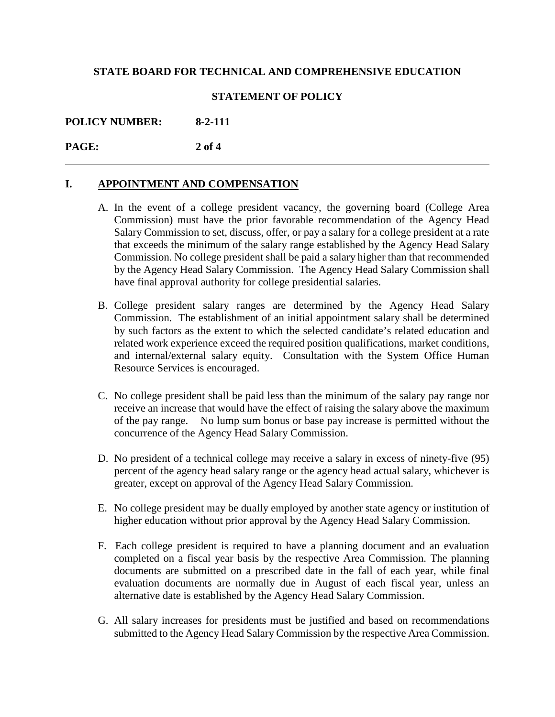#### **STATEMENT OF POLICY**

## **POLICY NUMBER: 8-2-111**

**PAGE: 2 of 4**

#### **I. APPOINTMENT AND COMPENSATION**

 $\overline{a}$ 

- A. In the event of a college president vacancy, the governing board (College Area Commission) must have the prior favorable recommendation of the Agency Head Salary Commission to set, discuss, offer, or pay a salary for a college president at a rate that exceeds the minimum of the salary range established by the Agency Head Salary Commission. No college president shall be paid a salary higher than that recommended by the Agency Head Salary Commission. The Agency Head Salary Commission shall have final approval authority for college presidential salaries.
- B. College president salary ranges are determined by the Agency Head Salary Commission. The establishment of an initial appointment salary shall be determined by such factors as the extent to which the selected candidate's related education and related work experience exceed the required position qualifications, market conditions, and internal/external salary equity. Consultation with the System Office Human Resource Services is encouraged.
- C. No college president shall be paid less than the minimum of the salary pay range nor receive an increase that would have the effect of raising the salary above the maximum of the pay range. No lump sum bonus or base pay increase is permitted without the concurrence of the Agency Head Salary Commission.
- D. No president of a technical college may receive a salary in excess of ninety-five (95) percent of the agency head salary range or the agency head actual salary, whichever is greater, except on approval of the Agency Head Salary Commission.
- E. No college president may be dually employed by another state agency or institution of higher education without prior approval by the Agency Head Salary Commission.
- F. Each college president is required to have a planning document and an evaluation completed on a fiscal year basis by the respective Area Commission. The planning documents are submitted on a prescribed date in the fall of each year, while final evaluation documents are normally due in August of each fiscal year, unless an alternative date is established by the Agency Head Salary Commission.
- G. All salary increases for presidents must be justified and based on recommendations submitted to the Agency Head Salary Commission by the respective Area Commission.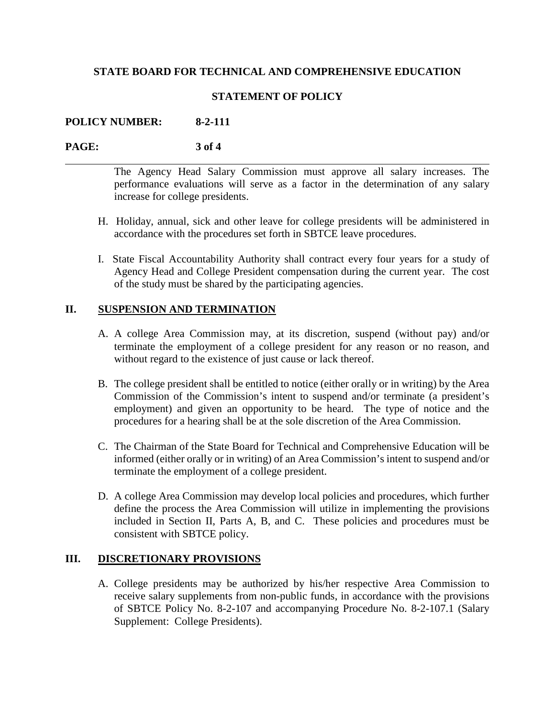### **STATEMENT OF POLICY**

### **POLICY NUMBER: 8-2-111**

#### **PAGE: 3 of 4**

 $\overline{a}$ 

The Agency Head Salary Commission must approve all salary increases. The performance evaluations will serve as a factor in the determination of any salary increase for college presidents.

- H. Holiday, annual, sick and other leave for college presidents will be administered in accordance with the procedures set forth in SBTCE leave procedures.
- I. State Fiscal Accountability Authority shall contract every four years for a study of Agency Head and College President compensation during the current year. The cost of the study must be shared by the participating agencies.

#### **II. SUSPENSION AND TERMINATION**

- A. A college Area Commission may, at its discretion, suspend (without pay) and/or terminate the employment of a college president for any reason or no reason, and without regard to the existence of just cause or lack thereof.
- B. The college president shall be entitled to notice (either orally or in writing) by the Area Commission of the Commission's intent to suspend and/or terminate (a president's employment) and given an opportunity to be heard. The type of notice and the procedures for a hearing shall be at the sole discretion of the Area Commission.
- C. The Chairman of the State Board for Technical and Comprehensive Education will be informed (either orally or in writing) of an Area Commission's intent to suspend and/or terminate the employment of a college president.
- D. A college Area Commission may develop local policies and procedures, which further define the process the Area Commission will utilize in implementing the provisions included in Section II, Parts A, B, and C. These policies and procedures must be consistent with SBTCE policy.

#### **III. DISCRETIONARY PROVISIONS**

A. College presidents may be authorized by his/her respective Area Commission to receive salary supplements from non-public funds, in accordance with the provisions of SBTCE Policy No. 8-2-107 and accompanying Procedure No. 8-2-107.1 (Salary Supplement: College Presidents).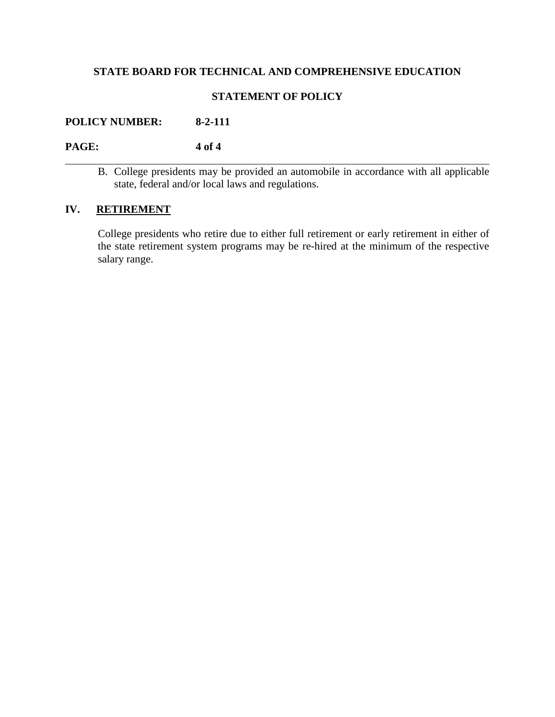## **STATEMENT OF POLICY**

## **POLICY NUMBER: 8-2-111**

 $\overline{a}$ 

## **PAGE: 4 of 4**

B. College presidents may be provided an automobile in accordance with all applicable state, federal and/or local laws and regulations.

## **IV. RETIREMENT**

College presidents who retire due to either full retirement or early retirement in either of the state retirement system programs may be re-hired at the minimum of the respective salary range.